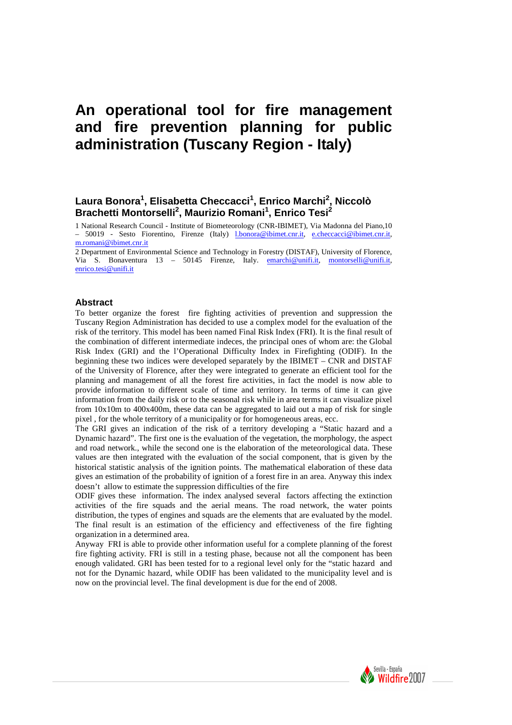# **An operational tool for fire management and fire prevention planning for public administration (Tuscany Region - Italy)**

# **Laura Bonora<sup>1</sup> , Elisabetta Checcacci<sup>1</sup> , Enrico Marchi<sup>2</sup> , Niccolò Brachetti Montorselli<sup>2</sup> , Maurizio Romani<sup>1</sup> , Enrico Tesi<sup>2</sup>**

1 National Research Council - Institute of Biometeorology (CNR-IBIMET), Via Madonna del Piano,10 – 50019 - Sesto Fiorentino, Firenze (Italy) l.bonora@ibimet.cnr.it, e.checcacci@ibimet.cnr.it, m.romani@ibimet.cnr.it

2 Department of Environmental Science and Technology in Forestry (DISTAF), University of Florence, Via S. Bonaventura 13 – 50145 Firenze, Italy. emarchi@unifi.it, montorselli@unifi.it, enrico.tesi@unifi.it

### **Abstract**

To better organize the forest fire fighting activities of prevention and suppression the Tuscany Region Administration has decided to use a complex model for the evaluation of the risk of the territory. This model has been named Final Risk Index (FRI). It is the final result of the combination of different intermediate indeces, the principal ones of whom are: the Global Risk Index (GRI) and the l'Operational Difficulty Index in Firefighting (ODIF). In the beginning these two indices were developed separately by the IBIMET – CNR and DISTAF of the University of Florence, after they were integrated to generate an efficient tool for the planning and management of all the forest fire activities, in fact the model is now able to provide information to different scale of time and territory. In terms of time it can give information from the daily risk or to the seasonal risk while in area terms it can visualize pixel from 10x10m to 400x400m, these data can be aggregated to laid out a map of risk for single pixel , for the whole territory of a municipality or for homogeneous areas, ecc.

The GRI gives an indication of the risk of a territory developing a "Static hazard and a Dynamic hazard". The first one is the evaluation of the vegetation, the morphology, the aspect and road network., while the second one is the elaboration of the meteorological data. These values are then integrated with the evaluation of the social component, that is given by the historical statistic analysis of the ignition points. The mathematical elaboration of these data gives an estimation of the probability of ignition of a forest fire in an area. Anyway this index doesn't allow to estimate the suppression difficulties of the fire

ODIF gives these information. The index analysed several factors affecting the extinction activities of the fire squads and the aerial means. The road network, the water points distribution, the types of engines and squads are the elements that are evaluated by the model. The final result is an estimation of the efficiency and effectiveness of the fire fighting organization in a determined area.

Anyway FRI is able to provide other information useful for a complete planning of the forest fire fighting activity. FRI is still in a testing phase, because not all the component has been enough validated. GRI has been tested for to a regional level only for the "static hazard and not for the Dynamic hazard, while ODIF has been validated to the municipality level and is now on the provincial level. The final development is due for the end of 2008.

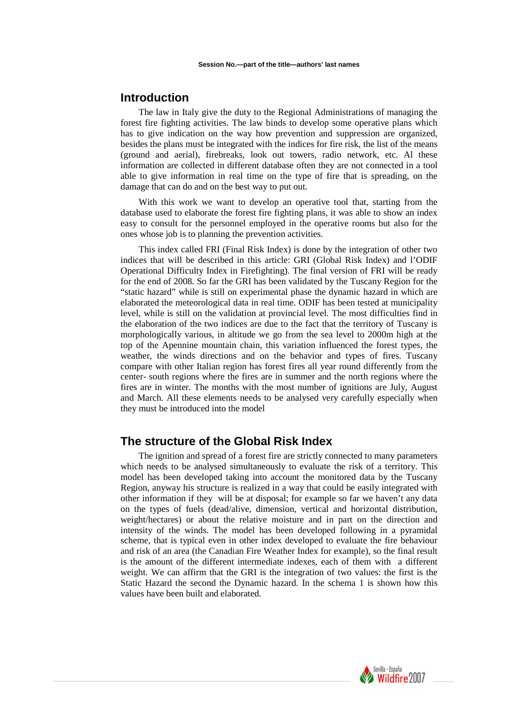# **Introduction**

The law in Italy give the duty to the Regional Administrations of managing the forest fire fighting activities. The law binds to develop some operative plans which has to give indication on the way how prevention and suppression are organized, besides the plans must be integrated with the indices for fire risk, the list of the means (ground and aerial), firebreaks, look out towers, radio network, etc. Al these information are collected in different database often they are not connected in a tool able to give information in real time on the type of fire that is spreading, on the damage that can do and on the best way to put out.

With this work we want to develop an operative tool that, starting from the database used to elaborate the forest fire fighting plans, it was able to show an index easy to consult for the personnel employed in the operative rooms but also for the ones whose job is to planning the prevention activities.

This index called FRI (Final Risk Index) is done by the integration of other two indices that will be described in this article: GRI (Global Risk Index) and l'ODIF Operational Difficulty Index in Firefighting). The final version of FRI will be ready for the end of 2008. So far the GRI has been validated by the Tuscany Region for the "static hazard" while is still on experimental phase the dynamic hazard in which are elaborated the meteorological data in real time. ODIF has been tested at municipality level, while is still on the validation at provincial level. The most difficulties find in the elaboration of the two indices are due to the fact that the territory of Tuscany is morphologically various, in altitude we go from the sea level to 2000m high at the top of the Apennine mountain chain, this variation influenced the forest types, the weather, the winds directions and on the behavior and types of fires. Tuscany compare with other Italian region has forest fires all year round differently from the center- south regions where the fires are in summer and the north regions where the fires are in winter. The months with the most number of ignitions are July, August and March. All these elements needs to be analysed very carefully especially when they must be introduced into the model

# **The structure of the Global Risk Index**

The ignition and spread of a forest fire are strictly connected to many parameters which needs to be analysed simultaneously to evaluate the risk of a territory. This model has been developed taking into account the monitored data by the Tuscany Region, anyway his structure is realized in a way that could be easily integrated with other information if they will be at disposal; for example so far we haven't any data on the types of fuels (dead/alive, dimension, vertical and horizontal distribution, weight/hectares) or about the relative moisture and in part on the direction and intensity of the winds. The model has been developed following in a pyramidal scheme, that is typical even in other index developed to evaluate the fire behaviour and risk of an area (the Canadian Fire Weather Index for example), so the final result is the amount of the different intermediate indexes, each of them with a different weight. We can affirm that the GRI is the integration of two values: the first is the Static Hazard the second the Dynamic hazard. In the schema 1 is shown how this values have been built and elaborated.

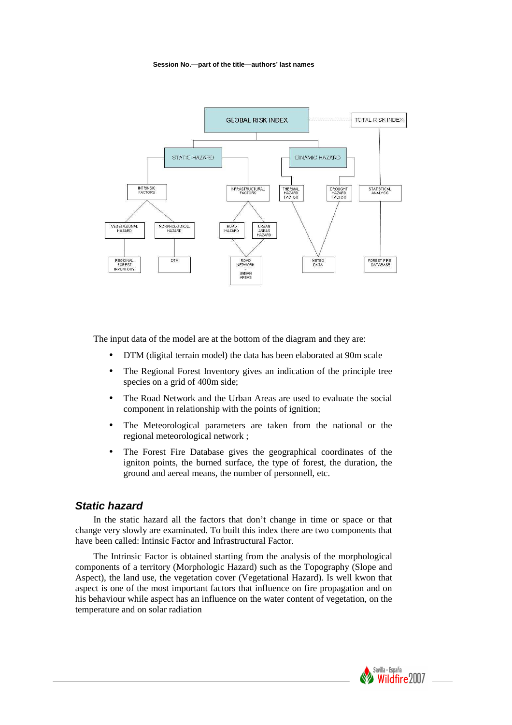

The input data of the model are at the bottom of the diagram and they are:

- DTM (digital terrain model) the data has been elaborated at 90m scale
- The Regional Forest Inventory gives an indication of the principle tree species on a grid of 400m side;
- The Road Network and the Urban Areas are used to evaluate the social component in relationship with the points of ignition;
- The Meteorological parameters are taken from the national or the regional meteorological network ;
- The Forest Fire Database gives the geographical coordinates of the igniton points, the burned surface, the type of forest, the duration, the ground and aereal means, the number of personnell, etc.

### **Static hazard**

In the static hazard all the factors that don't change in time or space or that change very slowly are examinated. To built this index there are two components that have been called: Intinsic Factor and Infrastructural Factor.

The Intrinsic Factor is obtained starting from the analysis of the morphological components of a territory (Morphologic Hazard) such as the Topography (Slope and Aspect), the land use, the vegetation cover (Vegetational Hazard). Is well kwon that aspect is one of the most important factors that influence on fire propagation and on his behaviour while aspect has an influence on the water content of vegetation, on the temperature and on solar radiation

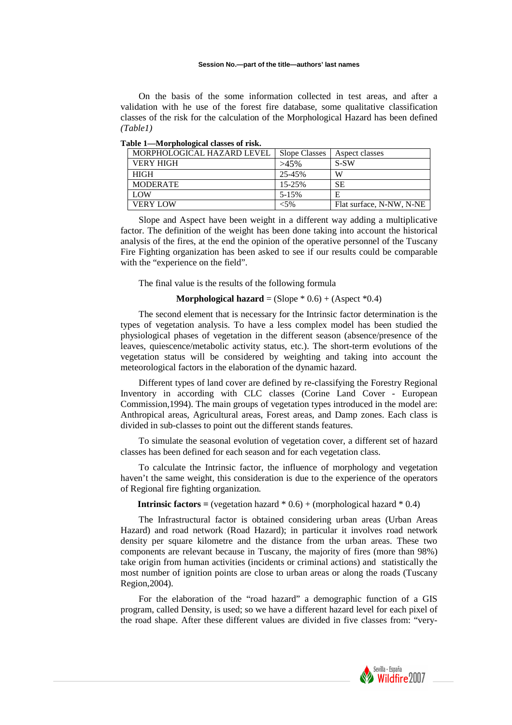On the basis of the some information collected in test areas, and after a validation with he use of the forest fire database, some qualitative classification classes of the risk for the calculation of the Morphological Hazard has been defined *(Table1)*

| MORPHOLOGICAL HAZARD LEVEL | <b>Slope Classes</b> | Aspect classes           |  |
|----------------------------|----------------------|--------------------------|--|
| VERY HIGH                  | $>45\%$              | $S-SW$                   |  |
| <b>HIGH</b>                | 25-45%               | W                        |  |
| <b>MODERATE</b>            | 15-25%               | <b>SE</b>                |  |
| <b>LOW</b>                 | $5 - 15%$            | E                        |  |
| <b>VERY LOW</b>            | <5%                  | Flat surface, N-NW, N-NE |  |

**Table 1—Morphological classes of risk.** 

Slope and Aspect have been weight in a different way adding a multiplicative factor. The definition of the weight has been done taking into account the historical analysis of the fires, at the end the opinion of the operative personnel of the Tuscany Fire Fighting organization has been asked to see if our results could be comparable with the "experience on the field".

The final value is the results of the following formula

#### **Morphological hazard** =  $(Slope * 0.6) + (Aspect * 0.4)$

The second element that is necessary for the Intrinsic factor determination is the types of vegetation analysis. To have a less complex model has been studied the physiological phases of vegetation in the different season (absence/presence of the leaves, quiescence/metabolic activity status, etc.). The short-term evolutions of the vegetation status will be considered by weighting and taking into account the meteorological factors in the elaboration of the dynamic hazard.

Different types of land cover are defined by re-classifying the Forestry Regional Inventory in according with CLC classes (Corine Land Cover - European Commission,1994). The main groups of vegetation types introduced in the model are: Anthropical areas, Agricultural areas, Forest areas, and Damp zones. Each class is divided in sub-classes to point out the different stands features.

To simulate the seasonal evolution of vegetation cover, a different set of hazard classes has been defined for each season and for each vegetation class.

To calculate the Intrinsic factor, the influence of morphology and vegetation haven't the same weight, this consideration is due to the experience of the operators of Regional fire fighting organization.

### **Intrinsic factors =**  $($ **vegetation hazard**  $*$  **0.6) +**  $($ **morphological hazard**  $*$  **0.4)**

The Infrastructural factor is obtained considering urban areas (Urban Areas Hazard) and road network (Road Hazard); in particular it involves road network density per square kilometre and the distance from the urban areas. These two components are relevant because in Tuscany, the majority of fires (more than 98%) take origin from human activities (incidents or criminal actions) and statistically the most number of ignition points are close to urban areas or along the roads (Tuscany Region,2004).

For the elaboration of the "road hazard" a demographic function of a GIS program, called Density, is used; so we have a different hazard level for each pixel of the road shape. After these different values are divided in five classes from: "very-

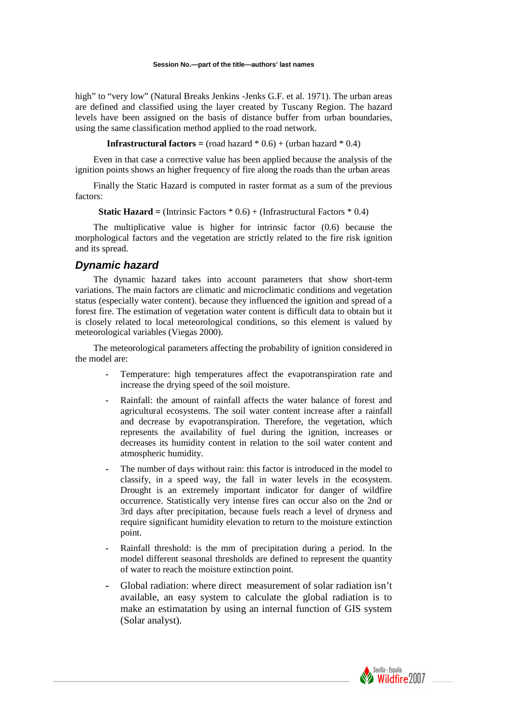high" to "very low" (Natural Breaks Jenkins -Jenks G.F. et al. 1971). The urban areas are defined and classified using the layer created by Tuscany Region. The hazard levels have been assigned on the basis of distance buffer from urban boundaries, using the same classification method applied to the road network.

**Infrastructural factors =**  $($ **road hazard**  $*$  **0.6) +**  $($ **urban hazard**  $*$  **0.4)** 

Even in that case a corrective value has been applied because the analysis of the ignition points shows an higher frequency of fire along the roads than the urban areas

Finally the Static Hazard is computed in raster format as a sum of the previous factors:

**Static Hazard** =  $(Intrinsic Factors * 0.6) + (Infrastructural Factors * 0.4)$ 

The multiplicative value is higher for intrinsic factor (0.6) because the morphological factors and the vegetation are strictly related to the fire risk ignition and its spread.

### **Dynamic hazard**

The dynamic hazard takes into account parameters that show short-term variations. The main factors are climatic and microclimatic conditions and vegetation status (especially water content). because they influenced the ignition and spread of a forest fire. The estimation of vegetation water content is difficult data to obtain but it is closely related to local meteorological conditions, so this element is valued by meteorological variables (Viegas 2000).

The meteorological parameters affecting the probability of ignition considered in the model are:

- **-** Temperature: high temperatures affect the evapotranspiration rate and increase the drying speed of the soil moisture.
- **-** Rainfall: the amount of rainfall affects the water balance of forest and agricultural ecosystems. The soil water content increase after a rainfall and decrease by evapotranspiration. Therefore, the vegetation, which represents the availability of fuel during the ignition, increases or decreases its humidity content in relation to the soil water content and atmospheric humidity.
- **-** The number of days without rain: this factor is introduced in the model to classify, in a speed way, the fall in water levels in the ecosystem. Drought is an extremely important indicator for danger of wildfire occurrence. Statistically very intense fires can occur also on the 2nd or 3rd days after precipitation, because fuels reach a level of dryness and require significant humidity elevation to return to the moisture extinction point.
- **-** Rainfall threshold: is the mm of precipitation during a period. In the model different seasonal thresholds are defined to represent the quantity of water to reach the moisture extinction point.
- **-** Global radiation: where direct measurement of solar radiation isn't available, an easy system to calculate the global radiation is to make an estimatation by using an internal function of GIS system (Solar analyst).

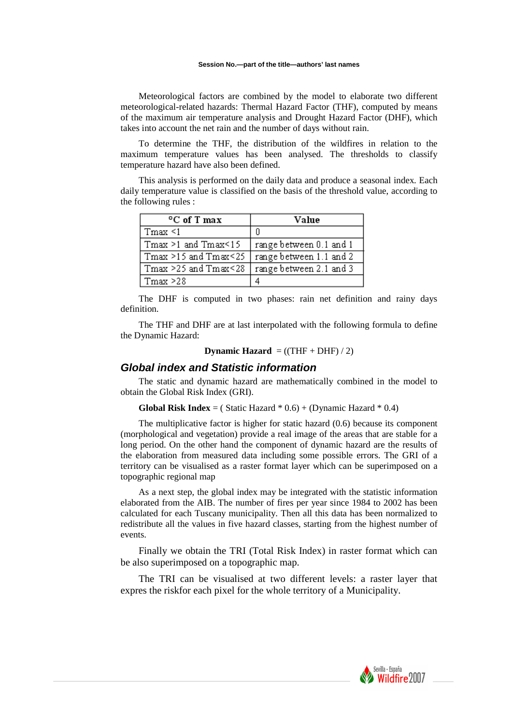Meteorological factors are combined by the model to elaborate two different meteorological-related hazards: Thermal Hazard Factor (THF), computed by means of the maximum air temperature analysis and Drought Hazard Factor (DHF), which takes into account the net rain and the number of days without rain.

To determine the THF, the distribution of the wildfires in relation to the maximum temperature values has been analysed. The thresholds to classify temperature hazard have also been defined.

This analysis is performed on the daily data and produce a seasonal index. Each daily temperature value is classified on the basis of the threshold value, according to the following rules :

| <sup>o</sup> C of T max         | Value                   |  |
|---------------------------------|-------------------------|--|
| $T$ max $\leq 1$                |                         |  |
| $Tmax \ge 1$ and $Tmax \le 15$  | range between 0.1 and 1 |  |
| $Tmax \ge 15$ and $Tmax \le 25$ | range between 1.1 and 2 |  |
| $Tmax > 25$ and $Tmax < 28$     | range between 2.1 and 3 |  |
| $T$ max $\geq$ 28               |                         |  |

The DHF is computed in two phases: rain net definition and rainy days definition.

The THF and DHF are at last interpolated with the following formula to define the Dynamic Hazard:

```
Dynamic Hazard = ((THF + DHF) / 2)
```
### **Global index and Statistic information**

The static and dynamic hazard are mathematically combined in the model to obtain the Global Risk Index (GRI).

**Global Risk Index** = ( Static Hazard  $*$  0.6) + (Dynamic Hazard  $*$  0.4)

The multiplicative factor is higher for static hazard (0.6) because its component (morphological and vegetation) provide a real image of the areas that are stable for a long period. On the other hand the component of dynamic hazard are the results of the elaboration from measured data including some possible errors. The GRI of a territory can be visualised as a raster format layer which can be superimposed on a topographic regional map

As a next step, the global index may be integrated with the statistic information elaborated from the AIB. The number of fires per year since 1984 to 2002 has been calculated for each Tuscany municipality. Then all this data has been normalized to redistribute all the values in five hazard classes, starting from the highest number of events.

Finally we obtain the TRI (Total Risk Index) in raster format which can be also superimposed on a topographic map.

The TRI can be visualised at two different levels: a raster layer that expres the riskfor each pixel for the whole territory of a Municipality.

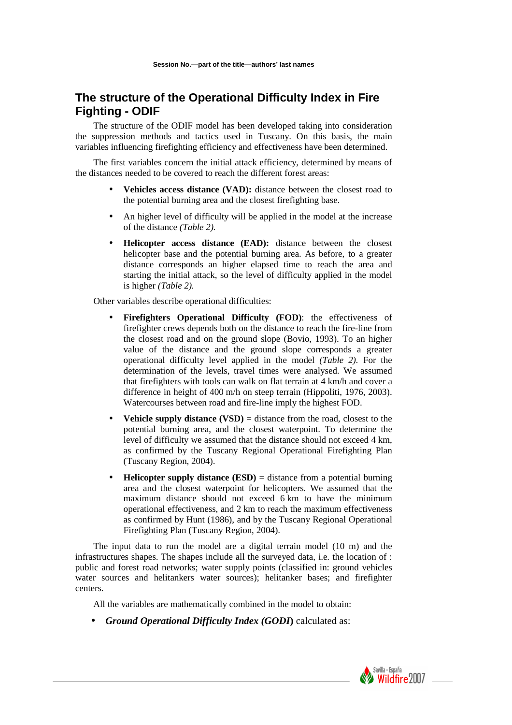# **The structure of the Operational Difficulty Index in Fire Fighting - ODIF**

The structure of the ODIF model has been developed taking into consideration the suppression methods and tactics used in Tuscany. On this basis, the main variables influencing firefighting efficiency and effectiveness have been determined.

The first variables concern the initial attack efficiency, determined by means of the distances needed to be covered to reach the different forest areas:

- **Vehicles access distance (VAD):** distance between the closest road to the potential burning area and the closest firefighting base.
- An higher level of difficulty will be applied in the model at the increase of the distance *(Table 2).*
- **Helicopter access distance (EAD):** distance between the closest helicopter base and the potential burning area. As before, to a greater distance corresponds an higher elapsed time to reach the area and starting the initial attack, so the level of difficulty applied in the model is higher *(Table 2).*

Other variables describe operational difficulties:

- **Firefighters Operational Difficulty (FOD)**: the effectiveness of firefighter crews depends both on the distance to reach the fire-line from the closest road and on the ground slope (Bovio, 1993). To an higher value of the distance and the ground slope corresponds a greater operational difficulty level applied in the model *(Table 2).* For the determination of the levels, travel times were analysed. We assumed that firefighters with tools can walk on flat terrain at 4 km/h and cover a difference in height of 400 m/h on steep terrain (Hippoliti, 1976, 2003). Watercourses between road and fire-line imply the highest FOD.
- **Vehicle supply distance (VSD)** = distance from the road, closest to the potential burning area, and the closest waterpoint. To determine the level of difficulty we assumed that the distance should not exceed 4 km, as confirmed by the Tuscany Regional Operational Firefighting Plan (Tuscany Region, 2004).
- **Helicopter supply distance (ESD)** = distance from a potential burning area and the closest waterpoint for helicopters. We assumed that the maximum distance should not exceed 6 km to have the minimum operational effectiveness, and 2 km to reach the maximum effectiveness as confirmed by Hunt (1986), and by the Tuscany Regional Operational Firefighting Plan (Tuscany Region, 2004).

The input data to run the model are a digital terrain model (10 m) and the infrastructures shapes. The shapes include all the surveyed data, i.e. the location of : public and forest road networks; water supply points (classified in: ground vehicles water sources and helitankers water sources); helitanker bases; and firefighter centers.

All the variables are mathematically combined in the model to obtain:

• *Ground Operational Difficulty Index (GODI***)** calculated as:

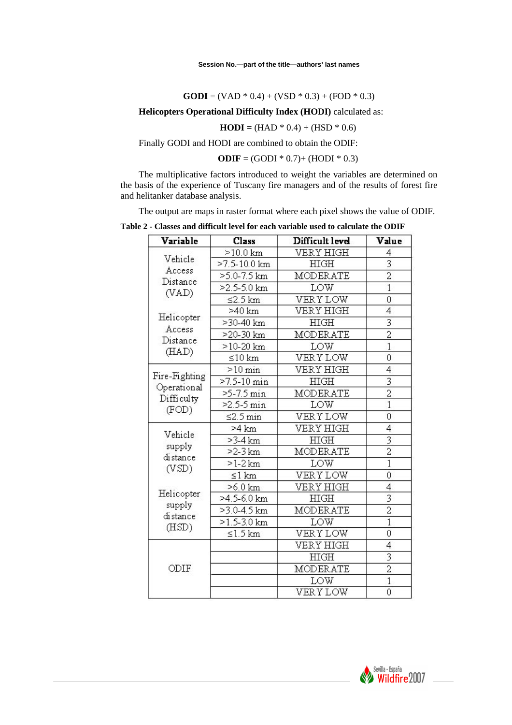**GODI** = (VAD  $*$  0.4) + (VSD  $*$  0.3) + (FOD  $*$  0.3)

**Helicopters Operational Difficulty Index (HODI)** calculated as:

**HODI** =  $(HAD * 0.4) + (HSD * 0.6)$ 

Finally GODI and HODI are combined to obtain the ODIF:

**ODIF** =  $(GODI * 0.7) + (HODI * 0.3)$ 

The multiplicative factors introduced to weight the variables are determined on the basis of the experience of Tuscany fire managers and of the results of forest fire and helitanker database analysis.

The output are maps in raster format where each pixel shows the value of ODIF.

**Table 2 - Classes and difficult level for each variable used to calculate the ODIF** 

| Variable                  | Class                | Difficult level  | Value                     |
|---------------------------|----------------------|------------------|---------------------------|
|                           | $>10.0$ km           | VERY HIGH        | 4                         |
| Vehicle                   | $>7.5 - 10.0$ km     | <b>HIGH</b>      | 3                         |
| Access<br>Distance        | $>5.0 - 7.5$ km      | <b>MODERATE</b>  | $\overline{2}$            |
| (VAD)                     | $>2.5 - 5.0$ km      | LOW              | ī                         |
|                           | ≤2.5 $km$            | VERYLOW          | 0                         |
|                           | >40 km               | VERY HIGH        | 4                         |
| Helicopter                | >30-40 km            | HIGH             | $\overline{\overline{3}}$ |
| Access<br>Distance        | >20-30 km            | MODERATE         | $\overline{2}$            |
| (HAD)                     | $>10-20$ km          | LOW              | $\overline{1}$            |
|                           | $\leq 10$ km         | VERYLOW          | 0                         |
|                           | $>10$ min            | VERY HIGH        | 4                         |
| Fire-Fighting             | $>7.5 - 10$ min      | HIGH             |                           |
| Operational<br>Difficulty | $>5-7.5 \text{ min}$ | <b>MODERATE</b>  | $\overline{2}$            |
| (FOD)                     | $>2.5 - 5 min$       | LOW              | $\overline{1}$            |
|                           | $\leq$ 2.5 min       | VERYLOW          | 0                         |
|                           | >4 km                | <b>VERY HIGH</b> | 4                         |
| Vehicle                   | $>3-4$ km            | HIGH             |                           |
| supply<br>distance        | $>2-3$ km            | MODERATE         | $\overline{2}$            |
|                           | $>1-2$ km            | LOW              | ī                         |
| (VSD)                     | $\leq 1$ km          | VERYLOW          | 0                         |
|                           | $>6.0$ km            | VERY HIGH        | 4                         |
| Helicopter                | >4.5-6.0 km          | HIGH             | 3                         |
| supply<br>distance        | $>3.0 - 4.5$ km      | MODERATE         | $\overline{2}$            |
| (HSD)                     | $>1.5 - 3.0$ km      | LOW              | $\overline{1}$            |
|                           | $\leq 1.5$ km        | VERYLOW          | 0                         |
| ODIF                      |                      | VERY HIGH        | 4                         |
|                           |                      | HIGH             |                           |
|                           |                      | MODERATE         | $\overline{2}$            |
|                           |                      | LOW              | $\overline{1}$            |
|                           |                      | VERYLOW          | 0                         |

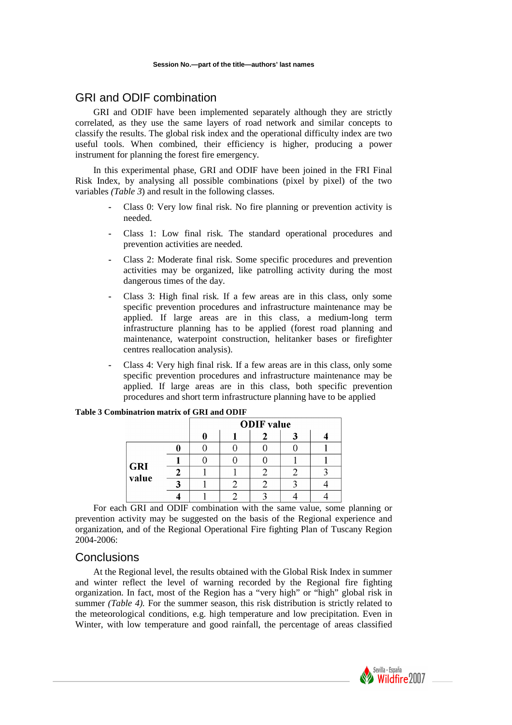# GRI and ODIF combination

GRI and ODIF have been implemented separately although they are strictly correlated, as they use the same layers of road network and similar concepts to classify the results. The global risk index and the operational difficulty index are two useful tools. When combined, their efficiency is higher, producing a power instrument for planning the forest fire emergency.

In this experimental phase, GRI and ODIF have been joined in the FRI Final Risk Index, by analysing all possible combinations (pixel by pixel) of the two variables *(Table 3*) and result in the following classes.

- **-** Class 0: Very low final risk. No fire planning or prevention activity is needed.
- **-** Class 1: Low final risk. The standard operational procedures and prevention activities are needed.
- **-** Class 2: Moderate final risk. Some specific procedures and prevention activities may be organized, like patrolling activity during the most dangerous times of the day.
- **-** Class 3: High final risk. If a few areas are in this class, only some specific prevention procedures and infrastructure maintenance may be applied. If large areas are in this class, a medium-long term infrastructure planning has to be applied (forest road planning and maintenance, waterpoint construction, helitanker bases or firefighter centres reallocation analysis).
- **-** Class 4: Very high final risk. If a few areas are in this class, only some specific prevention procedures and infrastructure maintenance may be applied. If large areas are in this class, both specific prevention procedures and short term infrastructure planning have to be applied

|                     | <b>ODIF</b> value |  |  |  |
|---------------------|-------------------|--|--|--|
|                     |                   |  |  |  |
|                     |                   |  |  |  |
|                     |                   |  |  |  |
| <b>GRI</b><br>value |                   |  |  |  |
|                     |                   |  |  |  |
|                     |                   |  |  |  |

### **Table 3 Combinatrion matrix of GRI and ODIF**

For each GRI and ODIF combination with the same value, some planning or prevention activity may be suggested on the basis of the Regional experience and organization, and of the Regional Operational Fire fighting Plan of Tuscany Region 2004-2006:

## **Conclusions**

At the Regional level, the results obtained with the Global Risk Index in summer and winter reflect the level of warning recorded by the Regional fire fighting organization. In fact, most of the Region has a "very high" or "high" global risk in summer *(Table 4)*. For the summer season, this risk distribution is strictly related to the meteorological conditions, e.g. high temperature and low precipitation. Even in Winter, with low temperature and good rainfall, the percentage of areas classified